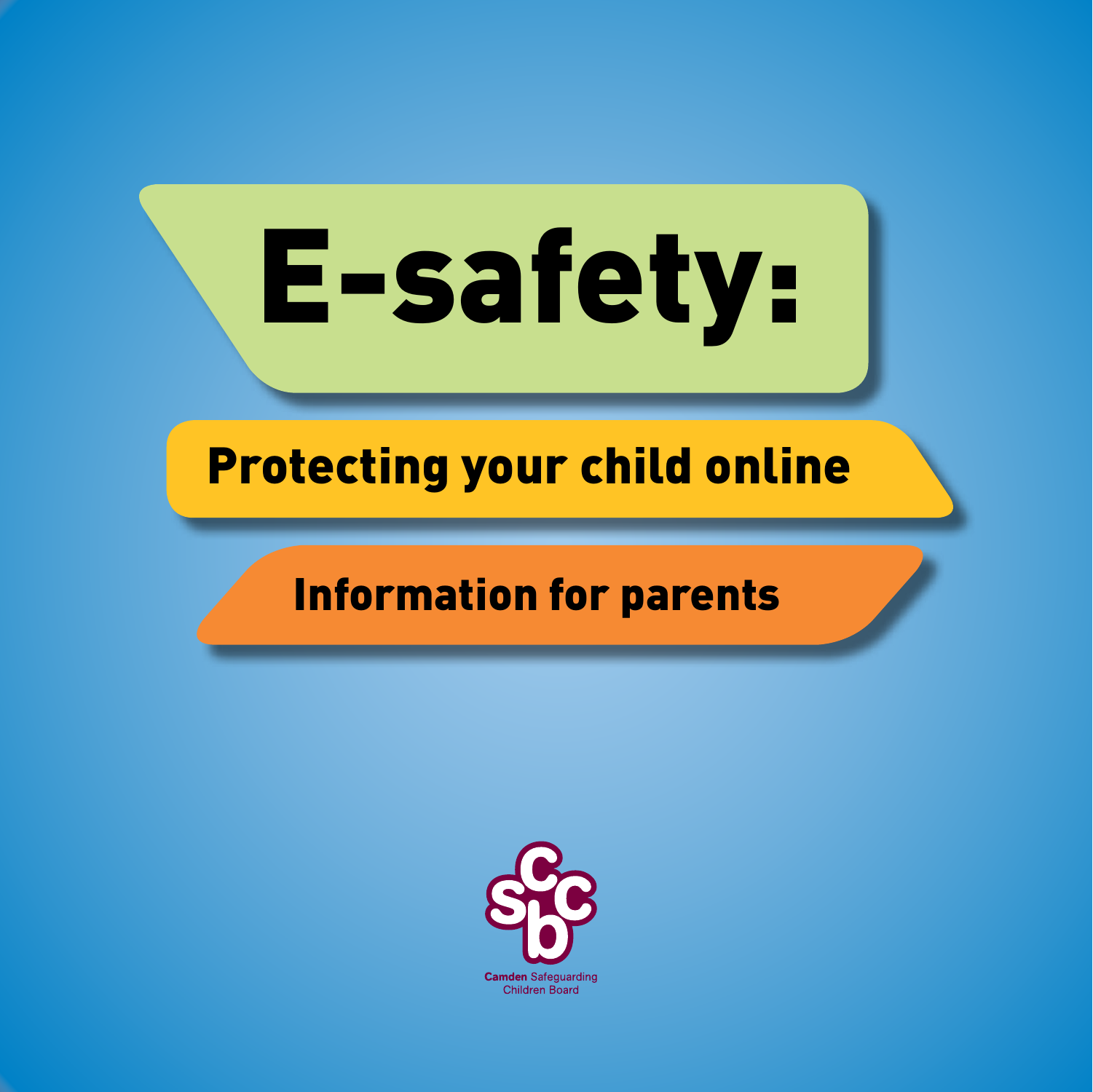# E-safety:

# Protecting your child online

## Information for parents

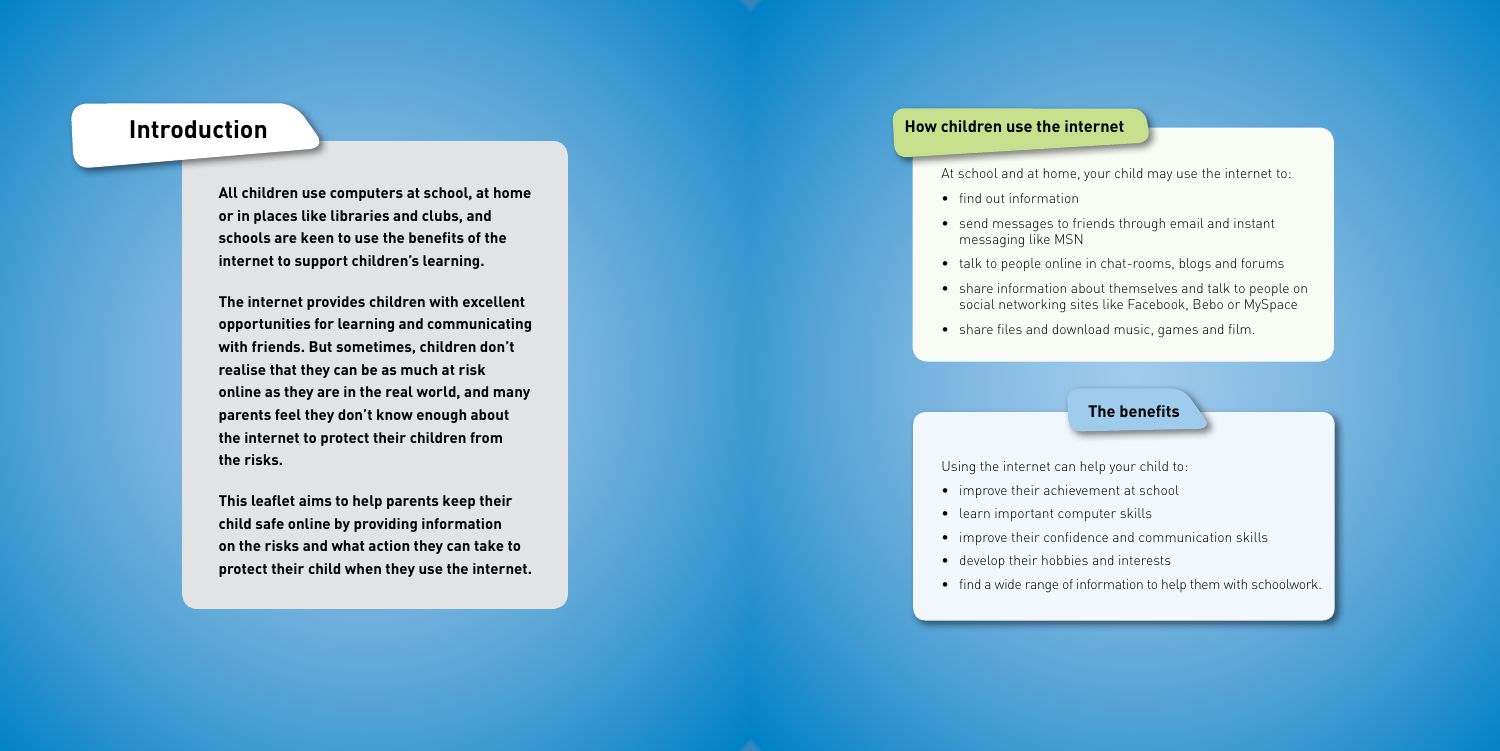## **The benefits**

**All children use computers at school, at home or in places like libraries and clubs, and schools are keen to use the benefits of the internet to support children's learning.** 

**The internet provides children with excellent opportunities for learning and communicating with friends. But sometimes, children don't realise that they can be as much at risk online as they are in the real world, and many parents feel they don't know enough about the internet to protect their children from the risks.**

**This leaflet aims to help parents keep their child safe online by providing information on the risks and what action they can take to protect their child when they use the internet.**

## **Introduction**

At school and at home, your child may use the internet to:

- find out information
- send messages to friends through email and instant messaging like MSN
- talk to people online in chat-rooms, blogs and forums
- share information about themselves and talk to people on social networking sites like Facebook, Bebo or MySpace
- share files and download music, games and film.

Using the internet can help your child to:

- improve their achievement at school
- learn important computer skills
- improve their confidence and communication skills
- develop their hobbies and interests
- find a wide range of information to help them with schoolwork.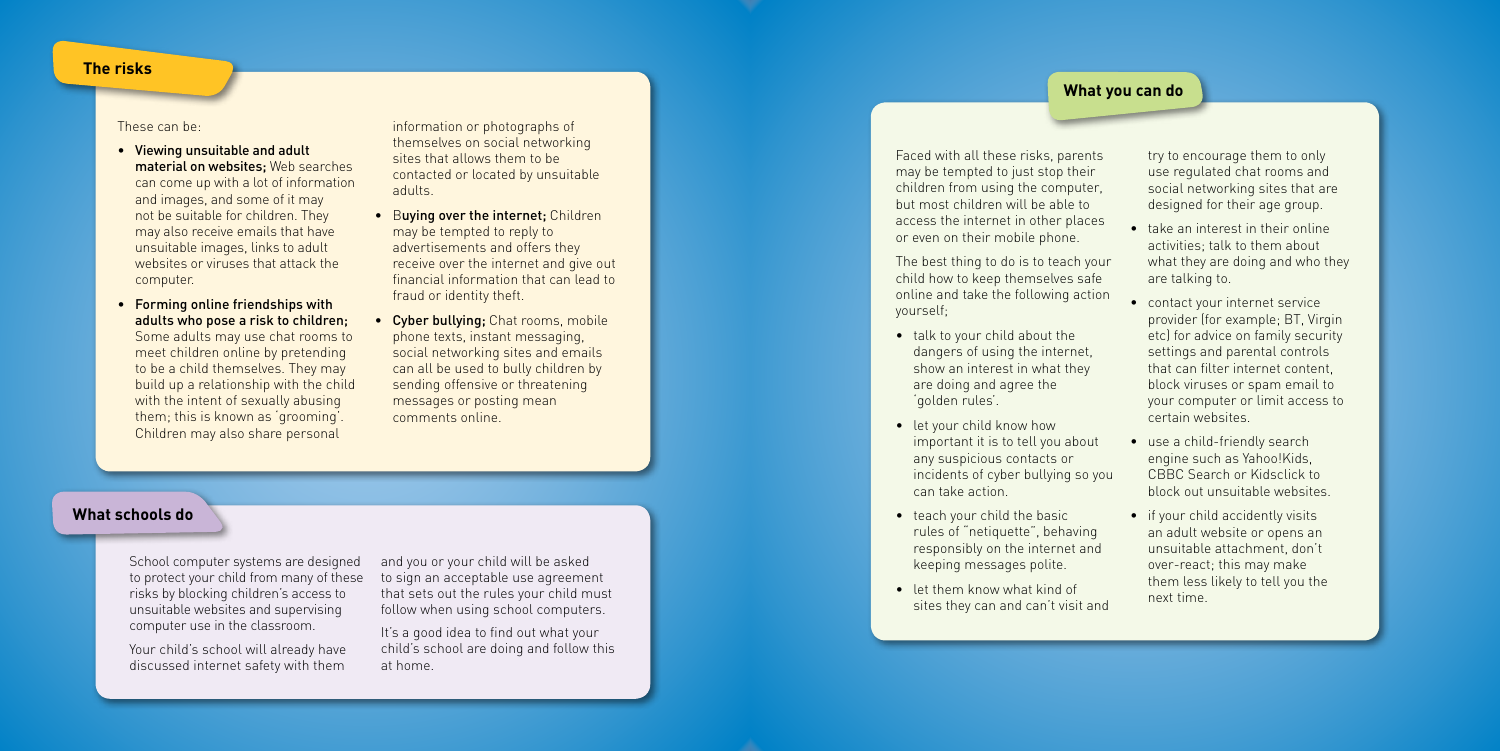## **The risks**

## **What schools do**

## **What you can do**

These can be:

- Viewing unsuitable and adult material on websites; Web searches can come up with a lot of information and images, and some of it may not be suitable for children. They may also receive emails that have unsuitable images, links to adult websites or viruses that attack the computer.
- Forming online friendships with adults who pose a risk to children; Some adults may use chat rooms to meet children online by pretending to be a child themselves. They may build up a relationship with the child with the intent of sexually abusing them; this is known as 'grooming'. Children may also share personal
- **Buying over the internet; Children** may be tempted to reply to advertisements and offers they receive over the internet and give out financial information that can lead to fraud or identity theft.
- Cyber bullying; Chat rooms, mobile phone texts, instant messaging, social networking sites and emails can all be used to bully children by sending offensive or threatening messages or posting mean comments online.

information or photographs of themselves on social networking sites that allows them to be contacted or located by unsuitable adults.

School computer systems are designed to protect your child from many of these risks by blocking children's access to unsuitable websites and supervising computer use in the classroom.

Your child's school will already have discussed internet safety with them

and you or your child will be asked to sign an acceptable use agreement that sets out the rules your child must follow when using school computers.

It's a good idea to find out what your child's school are doing and follow this at home.

Faced with all these risks, parents may be tempted to just stop their children from using the computer, but most children will be able to access the internet in other places or even on their mobile phone.

The best thing to do is to teach your child how to keep themselves safe online and take the following action yourself;

- talk to your child about the dangers of using the internet, show an interest in what they are doing and agree the 'golden rules'.
- let your child know how important it is to tell you about any suspicious contacts or incidents of cyber bullying so you can take action.
- teach your child the basic rules of "netiquette", behaving responsibly on the internet and keeping messages polite.
- let them know what kind of sites they can and can't visit and

try to encourage them to only use regulated chat rooms and social networking sites that are designed for their age group.

- take an interest in their online activities; talk to them about what they are doing and who they are talking to.
- contact your internet service provider (for example; BT, Virgin etc) for advice on family security settings and parental controls that can filter internet content, block viruses or spam email to your computer or limit access to certain websites.
- use a child-friendly search engine such as Yahoo!Kids, CBBC Search or Kidsclick to block out unsuitable websites.
- if your child accidently visits an adult website or opens an unsuitable attachment, don't over-react; this may make them less likely to tell you the next time.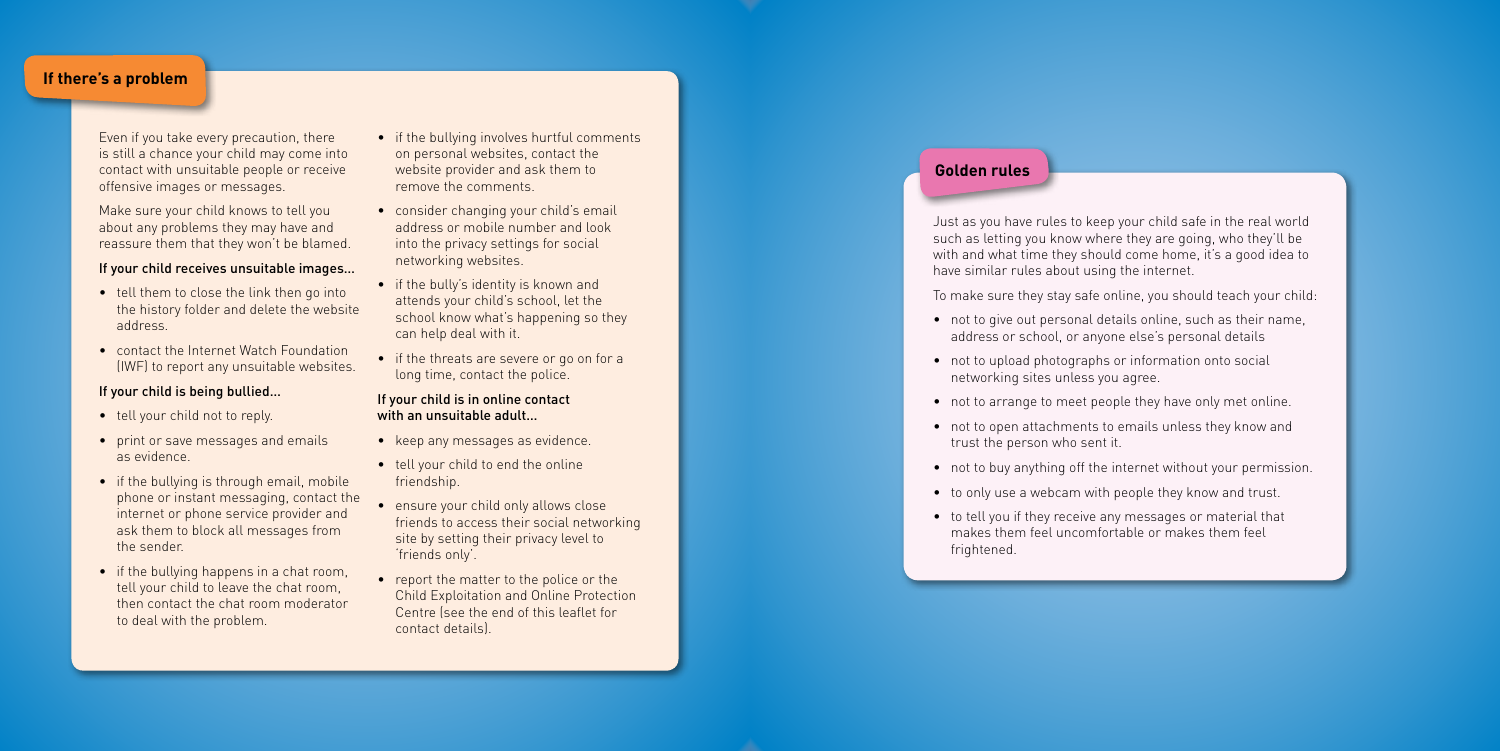## **Golden rules**

## **If there's a problem**

Even if you take every precaution, there is still a chance your child may come into contact with unsuitable people or receive offensive images or messages.

Make sure your child knows to tell you about any problems they may have and reassure them that they won't be blamed.

## If your child receives unsuitable images…

- tell them to close the link then go into the history folder and delete the website address.
- contact the Internet Watch Foundation (IWF) to report any unsuitable websites.

## If your child is being bullied…

- tell your child not to reply.
- print or save messages and emails as evidence.
- if the bullying is through email, mobile phone or instant messaging, contact the internet or phone service provider and ask them to block all messages from the sender.
- if the bullying happens in a chat room, tell your child to leave the chat room, then contact the chat room moderator to deal with the problem.
- if the bullying involves hurtful comments on personal websites, contact the website provider and ask them to remove the comments.
- consider changing your child's email address or mobile number and look into the privacy settings for social networking websites.
- if the bully's identity is known and attends your child's school, let the school know what's happening so they can help deal with it.
- if the threats are severe or go on for a long time, contact the police.

### If your child is in online contact with an unsuitable adult…

- keep any messages as evidence.
- tell your child to end the online friendship.
- ensure your child only allows close friends to access their social networking site by setting their privacy level to 'friends only'.
- report the matter to the police or the Child Exploitation and Online Protection Centre (see the end of this leaflet for contact details).

Just as you have rules to keep your child safe in the real world such as letting you know where they are going, who they'll be with and what time they should come home, it's a good idea to have similar rules about using the internet.

To make sure they stay safe online, you should teach your child:

- not to give out personal details online, such as their name, address or school, or anyone else's personal details
- not to upload photographs or information onto social networking sites unless you agree.
- not to arrange to meet people they have only met online. not to open attachments to emails unless they know and
- trust the person who sent it.
- 
- to only use a webcam with people they know and trust.
- to tell you if they receive any messages or material that makes them feel uncomfortable or makes them feel frightened.

• not to buy anything off the internet without your permission.